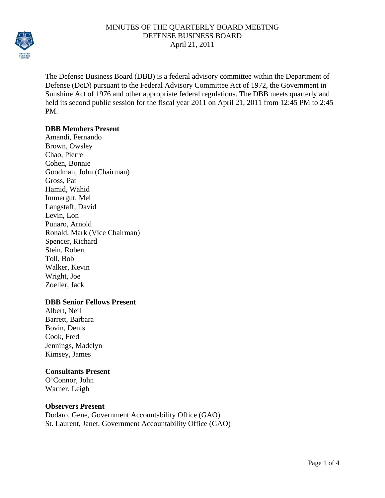

The Defense Business Board (DBB) is a federal advisory committee within the Department of Defense (DoD) pursuant to the Federal Advisory Committee Act of 1972, the Government in Sunshine Act of 1976 and other appropriate federal regulations. The DBB meets quarterly and held its second public session for the fiscal year 2011 on April 21, 2011 from 12:45 PM to 2:45 PM.

# **DBB Members Present**

Amandi, Fernando Brown, Owsley Chao, Pierre Cohen, Bonnie Goodman, John (Chairman) Gross, Pat Hamid, Wahid Immergut, Mel Langstaff, David Levin, Lon Punaro, Arnold Ronald, Mark (Vice Chairman) Spencer, Richard Stein, Robert Toll, Bob Walker, Kevin Wright, Joe Zoeller, Jack

## **DBB Senior Fellows Present**

Albert, Neil Barrett, Barbara Bovin, Denis Cook, Fred Jennings, Madelyn Kimsey, James

## **Consultants Present**

O'Connor, John Warner, Leigh

## **Observers Present**

Dodaro, Gene, Government Accountability Office (GAO) St. Laurent, Janet, Government Accountability Office (GAO)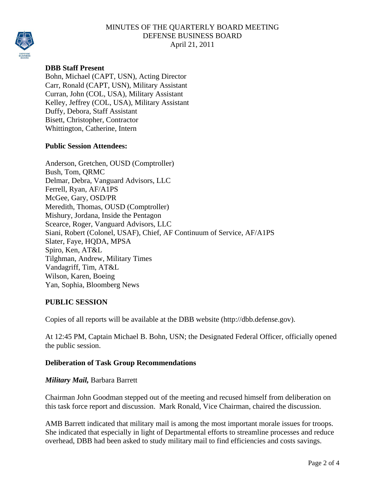

# **DBB Staff Present**

Bohn, Michael (CAPT, USN), Acting Director Carr, Ronald (CAPT, USN), Military Assistant Curran, John (COL, USA), Military Assistant Kelley, Jeffrey (COL, USA), Military Assistant Duffy, Debora, Staff Assistant Bisett, Christopher, Contractor Whittington, Catherine, Intern

#### **Public Session Attendees:**

Anderson, Gretchen, OUSD (Comptroller) Bush, Tom, QRMC Delmar, Debra, Vanguard Advisors, LLC Ferrell, Ryan, AF/A1PS McGee, Gary, OSD/PR Meredith, Thomas, OUSD (Comptroller) Mishury, Jordana, Inside the Pentagon Scearce, Roger, Vanguard Advisors, LLC Siani, Robert (Colonel, USAF), Chief, AF Continuum of Service, AF/A1PS Slater, Faye, HQDA, MPSA Spiro, Ken, AT&L Tilghman, Andrew, Military Times Vandagriff, Tim, AT&L Wilson, Karen, Boeing Yan, Sophia, Bloomberg News

#### **PUBLIC SESSION**

Copies of all reports will be available at the DBB website (http://dbb.defense.gov).

At 12:45 PM, Captain Michael B. Bohn, USN; the Designated Federal Officer, officially opened the public session.

## **Deliberation of Task Group Recommendations**

#### *Military Mail,* Barbara Barrett

Chairman John Goodman stepped out of the meeting and recused himself from deliberation on this task force report and discussion. Mark Ronald, Vice Chairman, chaired the discussion.

AMB Barrett indicated that military mail is among the most important morale issues for troops. She indicated that especially in light of Departmental efforts to streamline processes and reduce overhead, DBB had been asked to study military mail to find efficiencies and costs savings.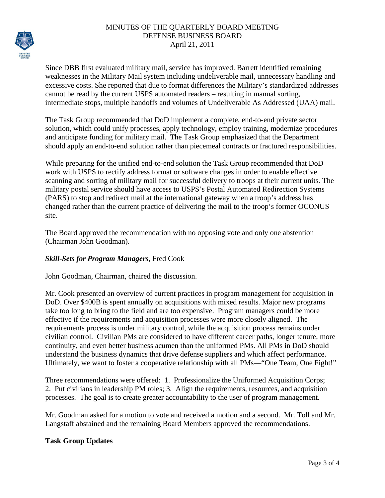

Since DBB first evaluated military mail, service has improved. Barrett identified remaining weaknesses in the Military Mail system including undeliverable mail, unnecessary handling and excessive costs. She reported that due to format differences the Military's standardized addresses cannot be read by the current USPS automated readers – resulting in manual sorting, intermediate stops, multiple handoffs and volumes of Undeliverable As Addressed (UAA) mail.

The Task Group recommended that DoD implement a complete, end-to-end private sector solution, which could unify processes, apply technology, employ training, modernize procedures and anticipate funding for military mail. The Task Group emphasized that the Department should apply an end-to-end solution rather than piecemeal contracts or fractured responsibilities.

While preparing for the unified end-to-end solution the Task Group recommended that DoD work with USPS to rectify address format or software changes in order to enable effective scanning and sorting of military mail for successful delivery to troops at their current units. The military postal service should have access to USPS's Postal Automated Redirection Systems (PARS) to stop and redirect mail at the international gateway when a troop's address has changed rather than the current practice of delivering the mail to the troop's former OCONUS site.

The Board approved the recommendation with no opposing vote and only one abstention (Chairman John Goodman).

# *Skill-Sets for Program Managers*, Fred Cook

John Goodman, Chairman, chaired the discussion.

Mr. Cook presented an overview of current practices in program management for acquisition in DoD. Over \$400B is spent annually on acquisitions with mixed results. Major new programs take too long to bring to the field and are too expensive. Program managers could be more effective if the requirements and acquisition processes were more closely aligned. The requirements process is under military control, while the acquisition process remains under civilian control. Civilian PMs are considered to have different career paths, longer tenure, more continuity, and even better business acumen than the uniformed PMs. All PMs in DoD should understand the business dynamics that drive defense suppliers and which affect performance. Ultimately, we want to foster a cooperative relationship with all PMs—"One Team, One Fight!"

Three recommendations were offered: 1. Professionalize the Uniformed Acquisition Corps; 2. Put civilians in leadership PM roles; 3. Align the requirements, resources, and acquisition processes. The goal is to create greater accountability to the user of program management.

Mr. Goodman asked for a motion to vote and received a motion and a second. Mr. Toll and Mr. Langstaff abstained and the remaining Board Members approved the recommendations.

# **Task Group Updates**